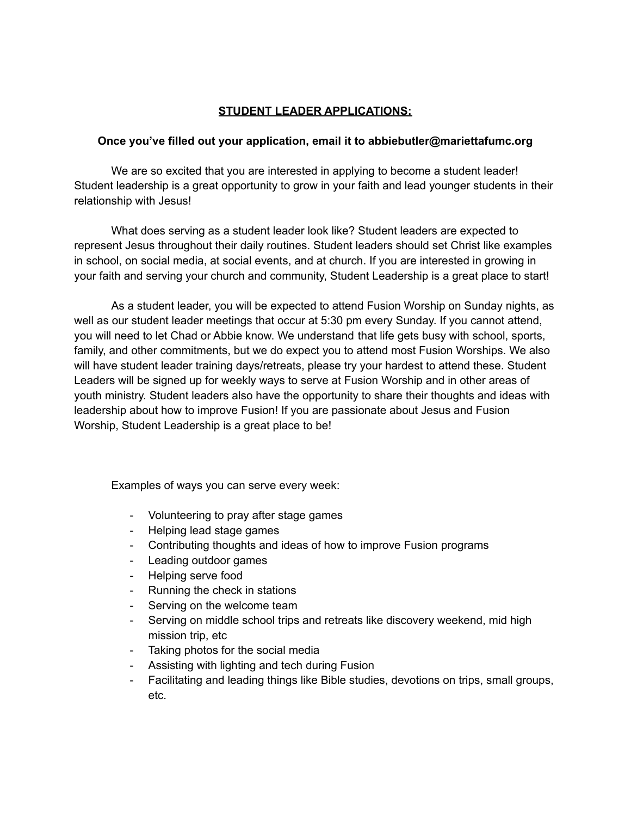## **STUDENT LEADER APPLICATIONS:**

## **Once you've filled out your application, email it to abbiebutler@mariettafumc.org**

We are so excited that you are interested in applying to become a student leader! Student leadership is a great opportunity to grow in your faith and lead younger students in their relationship with Jesus!

What does serving as a student leader look like? Student leaders are expected to represent Jesus throughout their daily routines. Student leaders should set Christ like examples in school, on social media, at social events, and at church. If you are interested in growing in your faith and serving your church and community, Student Leadership is a great place to start!

As a student leader, you will be expected to attend Fusion Worship on Sunday nights, as well as our student leader meetings that occur at 5:30 pm every Sunday. If you cannot attend, you will need to let Chad or Abbie know. We understand that life gets busy with school, sports, family, and other commitments, but we do expect you to attend most Fusion Worships. We also will have student leader training days/retreats, please try your hardest to attend these. Student Leaders will be signed up for weekly ways to serve at Fusion Worship and in other areas of youth ministry. Student leaders also have the opportunity to share their thoughts and ideas with leadership about how to improve Fusion! If you are passionate about Jesus and Fusion Worship, Student Leadership is a great place to be!

Examples of ways you can serve every week:

- Volunteering to pray after stage games
- Helping lead stage games
- Contributing thoughts and ideas of how to improve Fusion programs
- Leading outdoor games
- Helping serve food
- Running the check in stations
- Serving on the welcome team
- Serving on middle school trips and retreats like discovery weekend, mid high mission trip, etc
- Taking photos for the social media
- Assisting with lighting and tech during Fusion
- Facilitating and leading things like Bible studies, devotions on trips, small groups, etc.